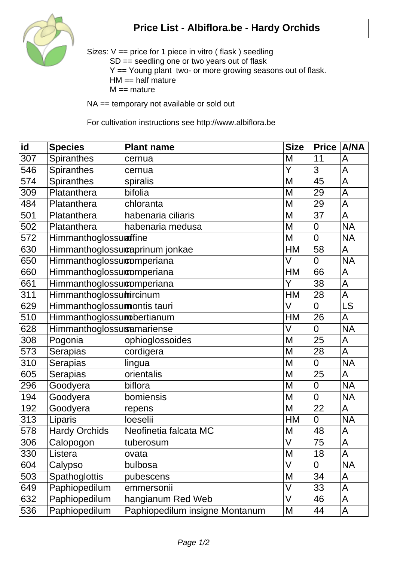

## **Price List - Albiflora.be - Hardy Orchids**

Sizes: V == price for 1 piece in vitro ( flask ) seedling SD == seedling one or two years out of flask Y == Young plant two- or more growing seasons out of flask.  $HM == half mature$  $M ==$  mature

NA == temporary not available or sold out

For cultivation instructions see http://www.albiflora.be

| id  | <b>Species</b>                 | <b>Plant name</b>              | <b>Size</b>       | Price   A/NA    |                |
|-----|--------------------------------|--------------------------------|-------------------|-----------------|----------------|
| 307 | Spiranthes                     | cernua                         | M                 | 11              | A              |
| 546 | <b>Spiranthes</b>              | cernua                         | Y                 | 3               | A              |
| 574 | <b>Spiranthes</b>              | spiralis                       | M                 | 45              | $\overline{A}$ |
| 309 | Platanthera                    | bifolia                        | M                 | 29              | A              |
| 484 | Platanthera                    | chloranta                      | M                 | 29              | A              |
| 501 | Platanthera                    | habenaria ciliaris             | M                 | 37              | A              |
| 502 | Platanthera                    | habenaria medusa               | M                 | 0               | <b>NA</b>      |
| 572 | Himmanthoglossulaffine         |                                | M                 | $\overline{0}$  | <b>NA</b>      |
| 630 | Himmanthoglossucaprinum jonkae |                                | <b>HM</b>         | 58              | A              |
| 650 | Himmanthoglossucomperiana      |                                | $\vee$            | $\overline{0}$  | <b>NA</b>      |
| 660 | Himmanthoglossucomperiana      |                                | HM                | 66              | A              |
| 661 | Himmanthoglossucomperiana      |                                | Y                 | 38              | A              |
| 311 | Himmanthoglossumircinum        |                                | <b>HM</b>         | 28              | A              |
| 629 | Himmanthoglossumontis tauri    |                                | V                 | $\overline{0}$  | <b>LS</b>      |
| 510 | Himmanthoglossumobertianum     |                                | <b>HM</b>         | 26              | A              |
| 628 | Himmanthoglossusamariense      |                                | V                 | $\overline{0}$  | <b>NA</b>      |
| 308 | Pogonia                        | ophioglossoides                | M                 | 25              | A              |
| 573 | <b>Serapias</b>                | cordigera                      | M                 | 28              | A              |
| 310 | <b>Serapias</b>                | lingua                         | M                 | $\overline{0}$  | <b>NA</b>      |
| 605 | <b>Serapias</b>                | orientalis                     | M                 | 25              | A              |
| 296 | Goodyera                       | biflora                        | M                 | 0               | <b>NA</b>      |
| 194 | Goodyera                       | bomiensis                      | M                 | $\overline{0}$  | <b>NA</b>      |
| 192 | Goodyera                       | repens                         | M                 | 22              | A              |
| 313 | Liparis                        | loeselii                       | HM                | 0               | <b>NA</b>      |
| 578 | <b>Hardy Orchids</b>           | Neofinetia falcata MC          | M                 | 48              | A              |
| 306 | Calopogon                      | tuberosum                      | $\overline{\vee}$ | $\overline{75}$ | A              |
| 330 | Listera                        | ovata                          | M                 | 18              | A              |
| 604 | Calypso                        | bulbosa                        | $\vee$            | 0               | <b>NA</b>      |
| 503 | <b>Spathoglottis</b>           | pubescens                      | M                 | 34              | A              |
| 649 | Paphiopedilum                  | emmersonii                     | V                 | 33              | A              |
| 632 | Paphiopedilum                  | hangianum Red Web              | V                 | 46              | A              |
| 536 | Paphiopedilum                  | Paphiopedilum insigne Montanum | M                 | 44              | A              |